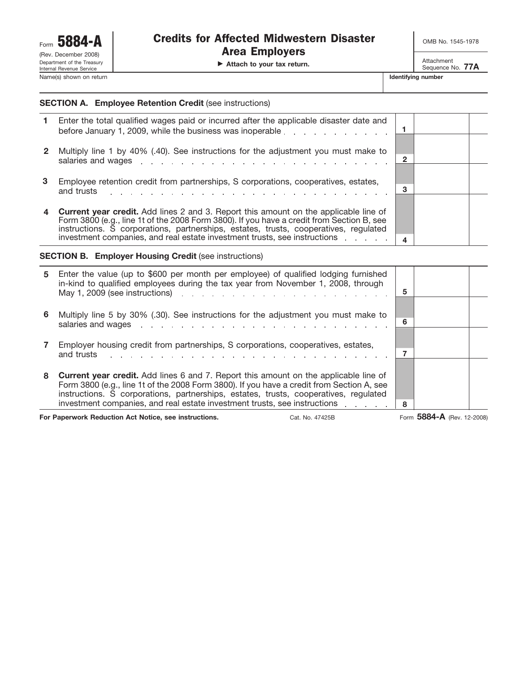▶ Attach to your tax return. Attachment

Sequence No. **77A**

## **SECTION A. Employee Retention Credit** (see instructions)

|   | Enter the total qualified wages paid or incurred after the applicable disaster date and<br>before January 1, 2009, while the business was inoperable entity and the state of the business was inoperable.                                                                                                                           |              |  |
|---|-------------------------------------------------------------------------------------------------------------------------------------------------------------------------------------------------------------------------------------------------------------------------------------------------------------------------------------|--------------|--|
|   | Multiply line 1 by 40% (.40). See instructions for the adjustment you must make to<br>salaries and wages entertainment and the contract of the salaries and wages and contract the contract of the salarities of the salarities of the salarities of the salarities of the salarities of the salarities of the salar                | $\mathbf{2}$ |  |
| 3 | Employee retention credit from partnerships, S corporations, cooperatives, estates,<br>and trusts<br>and the company of the company of the company of the company of the company of the company of the company of the company of the company of the company of the company of the company of the company of the company of the comp | 3            |  |
|   | <b>Current year credit.</b> Add lines 2 and 3. Report this amount on the applicable line of<br>Form 3800 (e.g., line 1t of the 2008 Form 3800). If you have a credit from Section B, see<br>instructions. S corporations, partnerships, estates, trusts, cooperatives, regulated                                                    |              |  |
|   | investment companies, and real estate investment trusts, see instructions                                                                                                                                                                                                                                                           |              |  |

#### **SECTION B. Employer Housing Credit** (see instructions)

| 5. | Enter the value (up to \$600 per month per employee) of qualified lodging furnished<br>in-kind to qualified employees during the tax year from November 1, 2008, through                                                                                                                                                                                      | 5 |  |
|----|---------------------------------------------------------------------------------------------------------------------------------------------------------------------------------------------------------------------------------------------------------------------------------------------------------------------------------------------------------------|---|--|
| 6  | Multiply line 5 by 30% (.30). See instructions for the adjustment you must make to                                                                                                                                                                                                                                                                            | 6 |  |
|    | Employer housing credit from partnerships, S corporations, cooperatives, estates,<br>and trusts<br>and the contract of the contract of the contract of the contract of the contract of                                                                                                                                                                        |   |  |
| 8  | <b>Current year credit.</b> Add lines 6 and 7. Report this amount on the applicable line of<br>Form 3800 (e.g., line 1t of the 2008 Form 3800). If you have a credit from Section A, see<br>instructions. S corporations, partnerships, estates, trusts, cooperatives, regulated<br>investment companies, and real estate investment trusts, see instructions | 8 |  |

**For Paperwork Reduction Act Notice, see instructions.** Cat. No. 47425B Form 5884-A (Rev. 12-2008)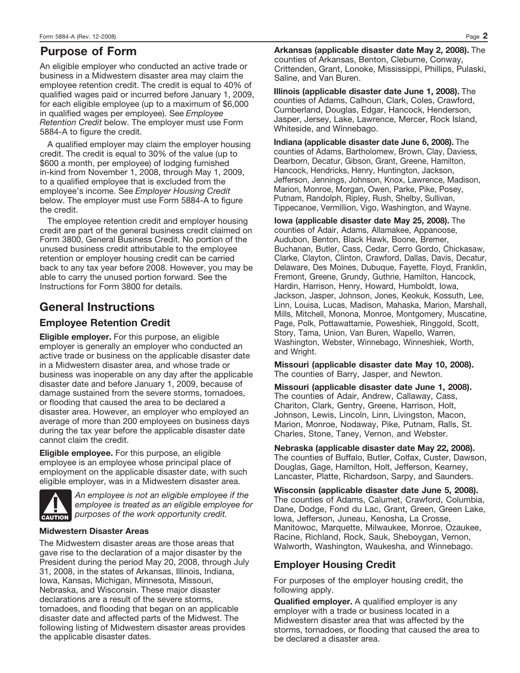# **Purpose of Form**

An eligible employer who conducted an active trade or business in a Midwestern disaster area may claim the employee retention credit. The credit is equal to 40% of qualified wages paid or incurred before January 1, 2009, for each eligible employee (up to a maximum of \$6,000 in qualified wages per employee). See *Employee Retention Credit* below. The employer must use Form 5884-A to figure the credit.

A qualified employer may claim the employer housing credit. The credit is equal to 30% of the value (up to \$600 a month, per employee) of lodging furnished in-kind from November 1, 2008, through May 1, 2009, to a qualified employee that is excluded from the employee's income. See *Employer Housing Credit* below. The employer must use Form 5884-A to figure the credit.

The employee retention credit and employer housing credit are part of the general business credit claimed on Form 3800, General Business Credit. No portion of the unused business credit attributable to the employee retention or employer housing credit can be carried back to any tax year before 2008. However, you may be able to carry the unused portion forward. See the Instructions for Form 3800 for details.

# **General Instructions**

# **Employee Retention Credit**

**Eligible employer.** For this purpose, an eligible employer is generally an employer who conducted an active trade or business on the applicable disaster date in a Midwestern disaster area, and whose trade or business was inoperable on any day after the applicable disaster date and before January 1, 2009, because of damage sustained from the severe storms, tornadoes, or flooding that caused the area to be declared a disaster area. However, an employer who employed an average of more than 200 employees on business days during the tax year before the applicable disaster date cannot claim the credit.

**Eligible employee.** For this purpose, an eligible employee is an employee whose principal place of employment on the applicable disaster date, with such eligible employer, was in a Midwestern disaster area.



*An employee is not an eligible employee if the employee is treated as an eligible employee for purposes of the work opportunity credit.*

## **Midwestern Disaster Areas**

The Midwestern disaster areas are those areas that gave rise to the declaration of a major disaster by the President during the period May 20, 2008, through July 31, 2008, in the states of Arkansas, Illinois, Indiana, Iowa, Kansas, Michigan, Minnesota, Missouri, Nebraska, and Wisconsin. These major disaster declarations are a result of the severe storms, tornadoes, and flooding that began on an applicable disaster date and affected parts of the Midwest. The following listing of Midwestern disaster areas provides the applicable disaster dates.

**Arkansas (applicable disaster date May 2, 2008).** The counties of Arkansas, Benton, Cleburne, Conway, Crittenden, Grant, Lonoke, Mississippi, Phillips, Pulaski, Saline, and Van Buren.

**Illinois (applicable disaster date June 1, 2008).** The counties of Adams, Calhoun, Clark, Coles, Crawford, Cumberland, Douglas, Edgar, Hancock, Henderson, Jasper, Jersey, Lake, Lawrence, Mercer, Rock Island, Whiteside, and Winnebago.

**Indiana (applicable disaster date June 6, 2008).** The counties of Adams, Bartholomew, Brown, Clay, Daviess, Dearborn, Decatur, Gibson, Grant, Greene, Hamilton, Hancock, Hendricks, Henry, Huntington, Jackson, Jefferson, Jennings, Johnson, Knox, Lawrence, Madison, Marion, Monroe, Morgan, Owen, Parke, Pike, Posey, Putnam, Randolph, Ripley, Rush, Shelby, Sullivan, Tippecanoe, Vermillion, Vigo, Washington, and Wayne.

**Iowa (applicable disaster date May 25, 2008).** The counties of Adair, Adams, Allamakee, Appanoose, Audubon, Benton, Black Hawk, Boone, Bremer, Buchanan, Butler, Cass, Cedar, Cerro Gordo, Chickasaw, Clarke, Clayton, Clinton, Crawford, Dallas, Davis, Decatur, Delaware, Des Moines, Dubuque, Fayette, Floyd, Franklin, Fremont, Greene, Grundy, Guthrie, Hamilton, Hancock, Hardin, Harrison, Henry, Howard, Humboldt, Iowa, Jackson, Jasper, Johnson, Jones, Keokuk, Kossuth, Lee, Linn, Louisa, Lucas, Madison, Mahaska, Marion, Marshall, Mills, Mitchell, Monona, Monroe, Montgomery, Muscatine, Page, Polk, Pottawattamie, Poweshiek, Ringgold, Scott, Story, Tama, Union, Van Buren, Wapello, Warren, Washington, Webster, Winnebago, Winneshiek, Worth, and Wright.

**Missouri (applicable disaster date May 10, 2008).** The counties of Barry, Jasper, and Newton.

**Missouri (applicable disaster date June 1, 2008).** The counties of Adair, Andrew, Callaway, Cass, Chariton, Clark, Gentry, Greene, Harrison, Holt, Johnson, Lewis, Lincoln, Linn, Livingston, Macon, Marion, Monroe, Nodaway, Pike, Putnam, Ralls, St. Charles, Stone, Taney, Vernon, and Webster.

**Nebraska (applicable disaster date May 22, 2008).** The counties of Buffalo, Butler, Colfax, Custer, Dawson, Douglas, Gage, Hamilton, Holt, Jefferson, Kearney, Lancaster, Platte, Richardson, Sarpy, and Saunders.

**Wisconsin (applicable disaster date June 5, 2008).** The counties of Adams, Calumet, Crawford, Columbia, Dane, Dodge, Fond du Lac, Grant, Green, Green Lake, Iowa, Jefferson, Juneau, Kenosha, La Crosse, Manitowoc, Marquette, Milwaukee, Monroe, Ozaukee, Racine, Richland, Rock, Sauk, Sheboygan, Vernon, Walworth, Washington, Waukesha, and Winnebago.

# **Employer Housing Credit**

For purposes of the employer housing credit, the following apply.

**Qualified employer.** A qualified employer is any employer with a trade or business located in a Midwestern disaster area that was affected by the storms, tornadoes, or flooding that caused the area to be declared a disaster area.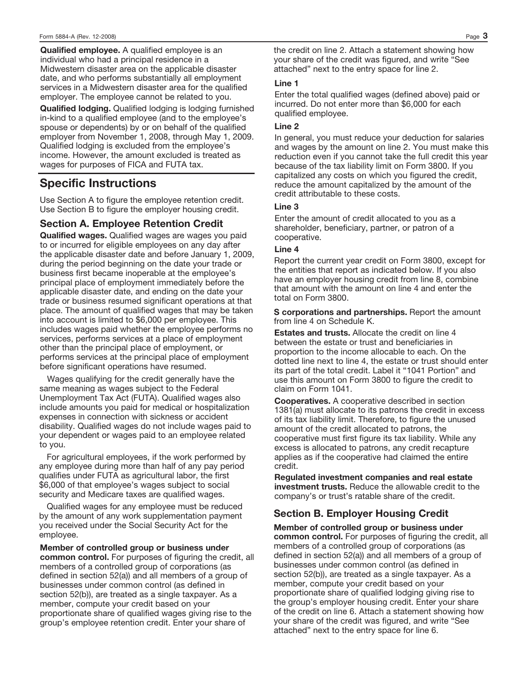**Qualified employee.** A qualified employee is an individual who had a principal residence in a Midwestern disaster area on the applicable disaster date, and who performs substantially all employment services in a Midwestern disaster area for the qualified employer. The employee cannot be related to you.

**Qualified lodging.** Qualified lodging is lodging furnished in-kind to a qualified employee (and to the employee's spouse or dependents) by or on behalf of the qualified employer from November 1, 2008, through May 1, 2009. Qualified lodging is excluded from the employee's income. However, the amount excluded is treated as wages for purposes of FICA and FUTA tax.

# **Specific Instructions**

Use Section A to figure the employee retention credit. Use Section B to figure the employer housing credit.

# **Section A. Employee Retention Credit**

**Qualified wages.** Qualified wages are wages you paid to or incurred for eligible employees on any day after the applicable disaster date and before January 1, 2009, during the period beginning on the date your trade or business first became inoperable at the employee's principal place of employment immediately before the applicable disaster date, and ending on the date your trade or business resumed significant operations at that place. The amount of qualified wages that may be taken into account is limited to \$6,000 per employee. This includes wages paid whether the employee performs no services, performs services at a place of employment other than the principal place of employment, or performs services at the principal place of employment before significant operations have resumed.

Wages qualifying for the credit generally have the same meaning as wages subject to the Federal Unemployment Tax Act (FUTA). Qualified wages also include amounts you paid for medical or hospitalization expenses in connection with sickness or accident disability. Qualified wages do not include wages paid to your dependent or wages paid to an employee related to you.

For agricultural employees, if the work performed by any employee during more than half of any pay period qualifies under FUTA as agricultural labor, the first \$6,000 of that employee's wages subject to social security and Medicare taxes are qualified wages.

Qualified wages for any employee must be reduced by the amount of any work supplementation payment you received under the Social Security Act for the employee.

**Member of controlled group or business under**

**common control.** For purposes of figuring the credit, all members of a controlled group of corporations (as defined in section 52(a)) and all members of a group of businesses under common control (as defined in section 52(b)), are treated as a single taxpayer. As a member, compute your credit based on your proportionate share of qualified wages giving rise to the group's employee retention credit. Enter your share of

the credit on line 2. Attach a statement showing how your share of the credit was figured, and write "See attached" next to the entry space for line 2.

#### **Line 1**

Enter the total qualified wages (defined above) paid or incurred. Do not enter more than \$6,000 for each qualified employee.

### **Line 2**

In general, you must reduce your deduction for salaries and wages by the amount on line 2. You must make this reduction even if you cannot take the full credit this year because of the tax liability limit on Form 3800. If you capitalized any costs on which you figured the credit, reduce the amount capitalized by the amount of the credit attributable to these costs.

#### **Line 3**

Enter the amount of credit allocated to you as a shareholder, beneficiary, partner, or patron of a cooperative.

#### **Line 4**

Report the current year credit on Form 3800, except for the entities that report as indicated below. If you also have an employer housing credit from line 8, combine that amount with the amount on line 4 and enter the total on Form 3800.

**S corporations and partnerships.** Report the amount from line 4 on Schedule K.

**Estates and trusts.** Allocate the credit on line 4 between the estate or trust and beneficiaries in proportion to the income allocable to each. On the dotted line next to line 4, the estate or trust should enter its part of the total credit. Label it "1041 Portion" and use this amount on Form 3800 to figure the credit to claim on Form 1041.

**Cooperatives.** A cooperative described in section 1381(a) must allocate to its patrons the credit in excess of its tax liability limit. Therefore, to figure the unused amount of the credit allocated to patrons, the cooperative must first figure its tax liability. While any excess is allocated to patrons, any credit recapture applies as if the cooperative had claimed the entire credit.

**Regulated investment companies and real estate investment trusts.** Reduce the allowable credit to the company's or trust's ratable share of the credit.

# **Section B. Employer Housing Credit**

**Member of controlled group or business under common control.** For purposes of figuring the credit, all members of a controlled group of corporations (as defined in section 52(a)) and all members of a group of businesses under common control (as defined in section 52(b)), are treated as a single taxpayer. As a member, compute your credit based on your proportionate share of qualified lodging giving rise to the group's employer housing credit. Enter your share of the credit on line 6. Attach a statement showing how your share of the credit was figured, and write "See attached" next to the entry space for line 6.